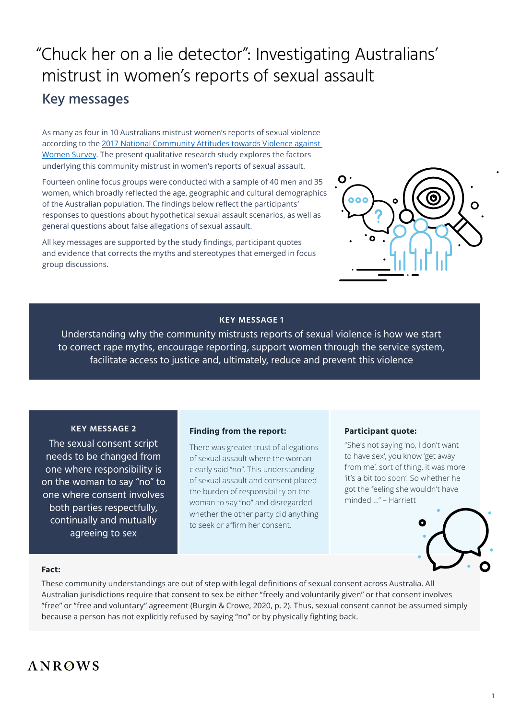# "Chuck her on a lie detector": Investigating Australians' mistrust in women's reports of sexual assault Key messages

As many as four in 10 Australians mistrust women's reports of sexual violence according to the [2017 National Community Attitudes towards Violence against](https://www.anrows.org.au/NCAS/2017/home/ )  [Women Survey](https://www.anrows.org.au/NCAS/2017/home/ ). The present qualitative research study explores the factors underlying this community mistrust in women's reports of sexual assault.

Fourteen online focus groups were conducted with a sample of 40 men and 35 women, which broadly reflected the age, geographic and cultural demographics of the Australian population. The findings below reflect the participants' responses to questions about hypothetical sexual assault scenarios, as well as general questions about false allegations of sexual assault.

All key messages are supported by the study findings, participant quotes and evidence that corrects the myths and stereotypes that emerged in focus group discussions.



# **KEY MESSAGE 1**

Understanding why the community mistrusts reports of sexual violence is how we start to correct rape myths, encourage reporting, support women through the service system, facilitate access to justice and, ultimately, reduce and prevent this violence

# **KEY MESSAGE 2**

The sexual consent script needs to be changed from one where responsibility is on the woman to say "no" to one where consent involves both parties respectfully, continually and mutually agreeing to sex

# **Finding from the report:**

There was greater trust of allegations of sexual assault where the woman clearly said "no". This understanding of sexual assault and consent placed the burden of responsibility on the woman to say "no" and disregarded whether the other party did anything to seek or affirm her consent.

# **Participant quote:**

"She's not saying 'no, I don't want to have sex', you know 'get away from me', sort of thing, it was more 'it's a bit too soon'. So whether he got the feeling she wouldn't have minded …" – Harriett



#### **Fact:**

These community understandings are out of step with legal definitions of sexual consent across Australia. All Australian jurisdictions require that consent to sex be either "freely and voluntarily given" or that consent involves "free" or "free and voluntary" agreement (Burgin & Crowe, 2020, p. 2). Thus, sexual consent cannot be assumed simply because a person has not explicitly refused by saying "no" or by physically fighting back.

# **ANROWS**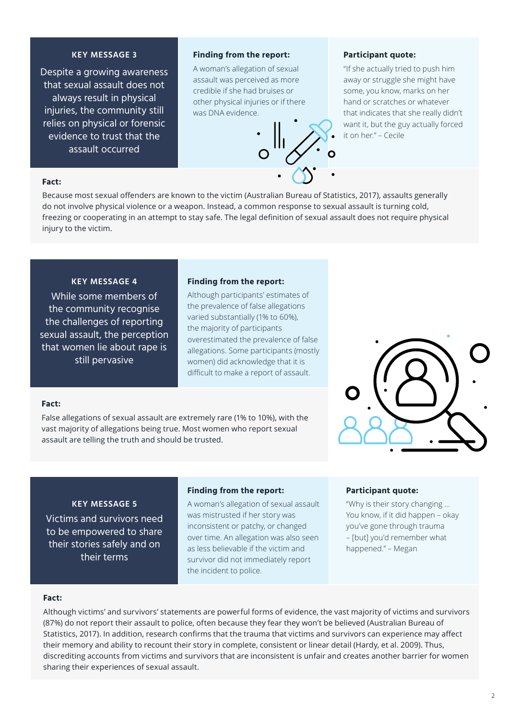# **KEY MESSAGE 3**

Despite a growing awareness that sexual assault does not always result in physical injuries, the community still relies on physical or forensic evidence to trust that the assault occurred

#### **Finding from the report:**

A woman's allegation of sexual assault was perceived as more credible if she had bruises or other physical injuries or if there was DNA evidence.



#### **Participant quote:**

"If she actually tried to push him away or struggle she might have some, you know, marks on her hand or scratches or whatever that indicates that she really didn't want it, but the guy actually forced it on her." – Cecile

# **Fact:**

Because most sexual offenders are known to the victim (Australian Bureau of Statistics, 2017), assaults generally do not involve physical violence or a weapon. Instead, a common response to sexual assault is turning cold, freezing or cooperating in an attempt to stay safe. The legal definition of sexual assault does not require physical injury to the victim.

# **KEY MESSAGE 4**

While some members of the community recognise the challenges of reporting sexual assault, the perception that women lie about rape is still pervasive

#### **Finding from the report:**

Although participants' estimates of the prevalence of false allegations varied substantially (1% to 60%), the majority of participants overestimated the prevalence of false allegations. Some participants (mostly women) did acknowledge that it is difficult to make a report of assault.

#### **Fact:**

False allegations of sexual assault are extremely rare (1% to 10%), with the vast majority of allegations being true. Most women who report sexual assault are telling the truth and should be trusted.



#### **KEY MESSAGE 5**

Victims and survivors need to be empowered to share their stories safely and on their terms

#### **Finding from the report:**

A woman's allegation of sexual assault was mistrusted if her story was inconsistent or patchy, or changed over time. An allegation was also seen as less believable if the victim and survivor did not immediately report the incident to police.

#### **Participant quote:**

"Why is their story changing … You know, if it did happen – okay you've gone through trauma – [but] you'd remember what happened." – Megan

#### **Fact:**

Although victims' and survivors' statements are powerful forms of evidence, the vast majority of victims and survivors (87%) do not report their assault to police, often because they fear they won't be believed (Australian Bureau of Statistics, 2017). In addition, research confirms that the trauma that victims and survivors can experience may affect their memory and ability to recount their story in complete, consistent or linear detail (Hardy, et al. 2009). Thus, discrediting accounts from victims and survivors that are inconsistent is unfair and creates another barrier for women sharing their experiences of sexual assault.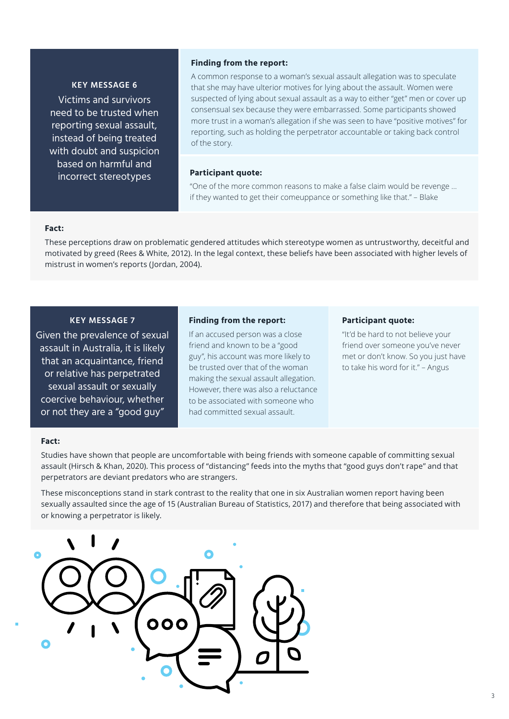#### **KEY MESSAGE 6**

Victims and survivors need to be trusted when reporting sexual assault, instead of being treated with doubt and suspicion based on harmful and incorrect stereotypes

#### **Finding from the report:**

A common response to a woman's sexual assault allegation was to speculate that she may have ulterior motives for lying about the assault. Women were suspected of lying about sexual assault as a way to either "get" men or cover up consensual sex because they were embarrassed. Some participants showed more trust in a woman's allegation if she was seen to have "positive motives" for reporting, such as holding the perpetrator accountable or taking back control of the story.

#### **Participant quote:**

"One of the more common reasons to make a false claim would be revenge … if they wanted to get their comeuppance or something like that." – Blake

#### **Fact:**

These perceptions draw on problematic gendered attitudes which stereotype women as untrustworthy, deceitful and motivated by greed (Rees & White, 2012). In the legal context, these beliefs have been associated with higher levels of mistrust in women's reports (Jordan, 2004).

# **KEY MESSAGE 7**

Given the prevalence of sexual assault in Australia, it is likely that an acquaintance, friend or relative has perpetrated sexual assault or sexually coercive behaviour, whether or not they are a "good guy"

#### **Finding from the report:**

If an accused person was a close friend and known to be a "good guy", his account was more likely to be trusted over that of the woman making the sexual assault allegation. However, there was also a reluctance to be associated with someone who had committed sexual assault.

#### **Participant quote:**

"It'd be hard to not believe your friend over someone you've never met or don't know. So you just have to take his word for it." – Angus

#### **Fact:**

Studies have shown that people are uncomfortable with being friends with someone capable of committing sexual assault (Hirsch & Khan, 2020). This process of "distancing" feeds into the myths that "good guys don't rape" and that perpetrators are deviant predators who are strangers.

These misconceptions stand in stark contrast to the reality that one in six Australian women report having been sexually assaulted since the age of 15 (Australian Bureau of Statistics, 2017) and therefore that being associated with or knowing a perpetrator is likely.